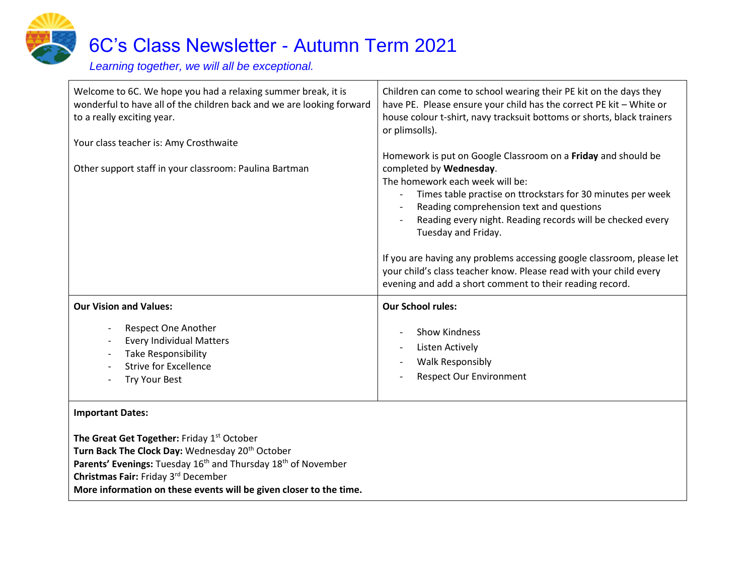

# 6C's Class Newsletter - Autumn Term 2021

*Learning together, we will all be exceptional.*

| Welcome to 6C. We hope you had a relaxing summer break, it is<br>wonderful to have all of the children back and we are looking forward<br>to a really exciting year.<br>Your class teacher is: Amy Crosthwaite | Children can come to school wearing their PE kit on the days they<br>have PE. Please ensure your child has the correct PE kit - White or<br>house colour t-shirt, navy tracksuit bottoms or shorts, black trainers<br>or plimsolls).                                                                                                                                                                 |
|----------------------------------------------------------------------------------------------------------------------------------------------------------------------------------------------------------------|------------------------------------------------------------------------------------------------------------------------------------------------------------------------------------------------------------------------------------------------------------------------------------------------------------------------------------------------------------------------------------------------------|
| Other support staff in your classroom: Paulina Bartman                                                                                                                                                         | Homework is put on Google Classroom on a Friday and should be<br>completed by Wednesday.<br>The homework each week will be:<br>Times table practise on ttrockstars for 30 minutes per week<br>Reading comprehension text and questions<br>Reading every night. Reading records will be checked every<br>Tuesday and Friday.<br>If you are having any problems accessing google classroom, please let |
|                                                                                                                                                                                                                | your child's class teacher know. Please read with your child every<br>evening and add a short comment to their reading record.                                                                                                                                                                                                                                                                       |
| <b>Our Vision and Values:</b>                                                                                                                                                                                  | <b>Our School rules:</b>                                                                                                                                                                                                                                                                                                                                                                             |
| Respect One Another<br><b>Every Individual Matters</b><br><b>Take Responsibility</b><br><b>Strive for Excellence</b><br><b>Try Your Best</b>                                                                   | <b>Show Kindness</b><br><b>Listen Actively</b><br><b>Walk Responsibly</b><br><b>Respect Our Environment</b>                                                                                                                                                                                                                                                                                          |
| <b>Important Dates:</b><br>The Great Get Together: Friday 1st October<br>Turn Back The Clock Day: Wednesday 20 <sup>th</sup> October                                                                           |                                                                                                                                                                                                                                                                                                                                                                                                      |